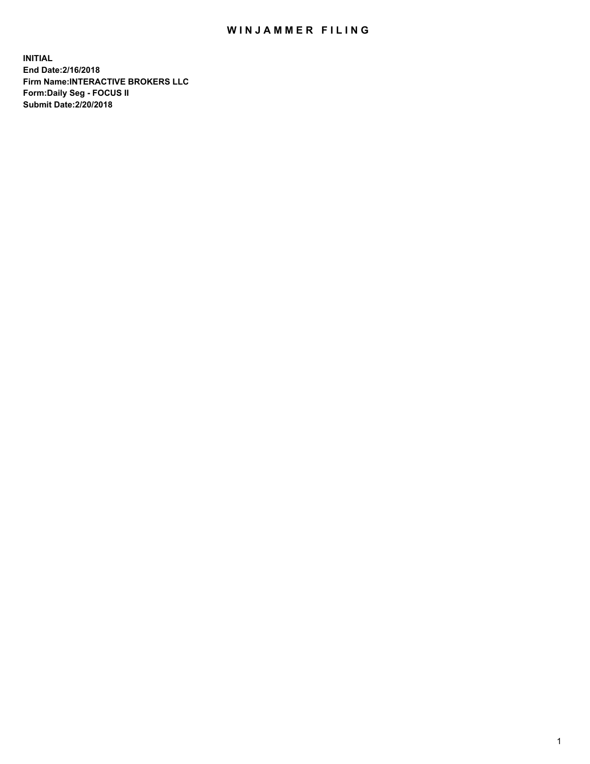## WIN JAMMER FILING

**INITIAL End Date:2/16/2018 Firm Name:INTERACTIVE BROKERS LLC Form:Daily Seg - FOCUS II Submit Date:2/20/2018**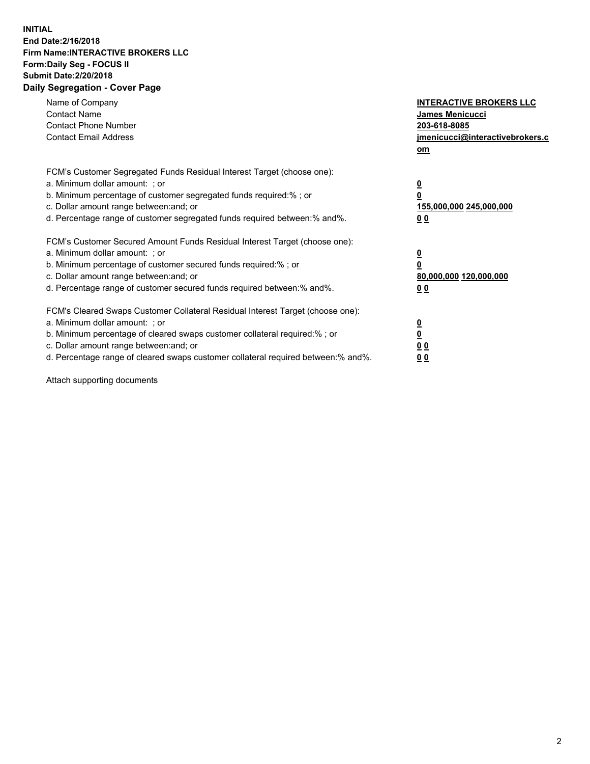## **INITIAL End Date:2/16/2018 Firm Name:INTERACTIVE BROKERS LLC Form:Daily Seg - FOCUS II Submit Date:2/20/2018 Daily Segregation - Cover Page**

| Name of Company<br><b>Contact Name</b><br><b>Contact Phone Number</b><br><b>Contact Email Address</b>                                                                                                                                                                                                                          | <b>INTERACTIVE BROKERS LLC</b><br>James Menicucci<br>203-618-8085<br>jmenicucci@interactivebrokers.c<br>om |
|--------------------------------------------------------------------------------------------------------------------------------------------------------------------------------------------------------------------------------------------------------------------------------------------------------------------------------|------------------------------------------------------------------------------------------------------------|
| FCM's Customer Segregated Funds Residual Interest Target (choose one):<br>a. Minimum dollar amount: ; or<br>b. Minimum percentage of customer segregated funds required:%; or<br>c. Dollar amount range between: and; or<br>d. Percentage range of customer segregated funds required between:% and%.                          | $\overline{\mathbf{0}}$<br>0<br>155,000,000 245,000,000<br>0 <sub>0</sub>                                  |
| FCM's Customer Secured Amount Funds Residual Interest Target (choose one):<br>a. Minimum dollar amount: ; or<br>b. Minimum percentage of customer secured funds required:%; or<br>c. Dollar amount range between: and; or<br>d. Percentage range of customer secured funds required between:% and%.                            | $\overline{\mathbf{0}}$<br>$\overline{\mathbf{0}}$<br>80,000,000 120,000,000<br>00                         |
| FCM's Cleared Swaps Customer Collateral Residual Interest Target (choose one):<br>a. Minimum dollar amount: ; or<br>b. Minimum percentage of cleared swaps customer collateral required:% ; or<br>c. Dollar amount range between: and; or<br>d. Percentage range of cleared swaps customer collateral required between:% and%. | $\overline{\mathbf{0}}$<br>$\overline{\mathbf{0}}$<br>0 <sub>0</sub><br><u>00</u>                          |

Attach supporting documents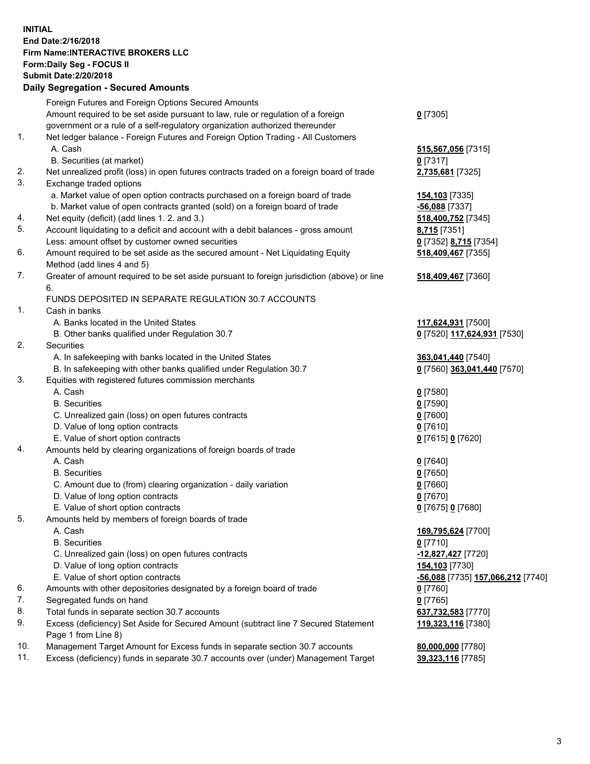## **INITIAL End Date:2/16/2018 Firm Name:INTERACTIVE BROKERS LLC Form:Daily Seg - FOCUS II Submit Date:2/20/2018 Daily Segregation - Secured Amounts**

|                | Daily Jegregation - Jeculed Aniounts                                                                       |                                   |
|----------------|------------------------------------------------------------------------------------------------------------|-----------------------------------|
|                | Foreign Futures and Foreign Options Secured Amounts                                                        |                                   |
|                | Amount required to be set aside pursuant to law, rule or regulation of a foreign                           | $0$ [7305]                        |
|                | government or a rule of a self-regulatory organization authorized thereunder                               |                                   |
| 1.             | Net ledger balance - Foreign Futures and Foreign Option Trading - All Customers                            |                                   |
|                | A. Cash                                                                                                    | 515,567,056 [7315]                |
|                | B. Securities (at market)                                                                                  | $0$ [7317]                        |
| 2.             | Net unrealized profit (loss) in open futures contracts traded on a foreign board of trade                  | 2,735,681 [7325]                  |
| 3.             | Exchange traded options                                                                                    |                                   |
|                | a. Market value of open option contracts purchased on a foreign board of trade                             | <b>154,103</b> [7335]             |
|                | b. Market value of open contracts granted (sold) on a foreign board of trade                               | -56,088 [7337]                    |
| 4.             | Net equity (deficit) (add lines 1.2. and 3.)                                                               | 518,400,752 [7345]                |
| 5.             | Account liquidating to a deficit and account with a debit balances - gross amount                          | 8,715 [7351]                      |
|                | Less: amount offset by customer owned securities                                                           | 0 [7352] 8,715 [7354]             |
| 6.             | Amount required to be set aside as the secured amount - Net Liquidating Equity                             | 518,409,467 [7355]                |
|                | Method (add lines 4 and 5)                                                                                 |                                   |
| 7.             | Greater of amount required to be set aside pursuant to foreign jurisdiction (above) or line                | 518,409,467 [7360]                |
|                | 6.                                                                                                         |                                   |
|                | FUNDS DEPOSITED IN SEPARATE REGULATION 30.7 ACCOUNTS                                                       |                                   |
| 1 <sub>1</sub> | Cash in banks                                                                                              |                                   |
|                | A. Banks located in the United States                                                                      | 117,624,931 [7500]                |
|                | B. Other banks qualified under Regulation 30.7                                                             | 0 [7520] 117,624,931 [7530]       |
| 2.             | Securities                                                                                                 |                                   |
|                | A. In safekeeping with banks located in the United States                                                  | 363,041,440 [7540]                |
|                | B. In safekeeping with other banks qualified under Regulation 30.7                                         | 0 [7560] 363,041,440 [7570]       |
| 3.             | Equities with registered futures commission merchants                                                      |                                   |
|                | A. Cash                                                                                                    | $0$ [7580]                        |
|                | <b>B.</b> Securities                                                                                       | $0$ [7590]                        |
|                | C. Unrealized gain (loss) on open futures contracts                                                        | $0$ [7600]                        |
|                | D. Value of long option contracts                                                                          | $0$ [7610]                        |
|                | E. Value of short option contracts                                                                         | 0 [7615] 0 [7620]                 |
| 4.             | Amounts held by clearing organizations of foreign boards of trade                                          |                                   |
|                | A. Cash                                                                                                    | $0$ [7640]                        |
|                | <b>B.</b> Securities                                                                                       | $0$ [7650]                        |
|                | C. Amount due to (from) clearing organization - daily variation                                            | $0$ [7660]                        |
|                | D. Value of long option contracts                                                                          | $0$ [7670]                        |
|                | E. Value of short option contracts                                                                         | 0 [7675] 0 [7680]                 |
| 5.             | Amounts held by members of foreign boards of trade                                                         |                                   |
|                | A. Cash                                                                                                    | 169,795,624 [7700]                |
|                | <b>B.</b> Securities                                                                                       | $0$ [7710]                        |
|                | C. Unrealized gain (loss) on open futures contracts                                                        | -12,827,427 [7720]                |
|                | D. Value of long option contracts                                                                          | 154,103 [7730]                    |
|                | E. Value of short option contracts                                                                         | -56,088 [7735] 157,066,212 [7740] |
| 6.<br>7.       | Amounts with other depositories designated by a foreign board of trade                                     | $0$ [7760]                        |
| 8.             | Segregated funds on hand                                                                                   | $0$ [7765]                        |
| 9.             | Total funds in separate section 30.7 accounts                                                              | 637,732,583 [7770]                |
|                | Excess (deficiency) Set Aside for Secured Amount (subtract line 7 Secured Statement<br>Page 1 from Line 8) | 119,323,116 [7380]                |
| 10.            | Management Target Amount for Excess funds in separate section 30.7 accounts                                | 80,000,000 [7780]                 |
| 11.            | Excess (deficiency) funds in separate 30.7 accounts over (under) Management Target                         | 39,323,116 [7785]                 |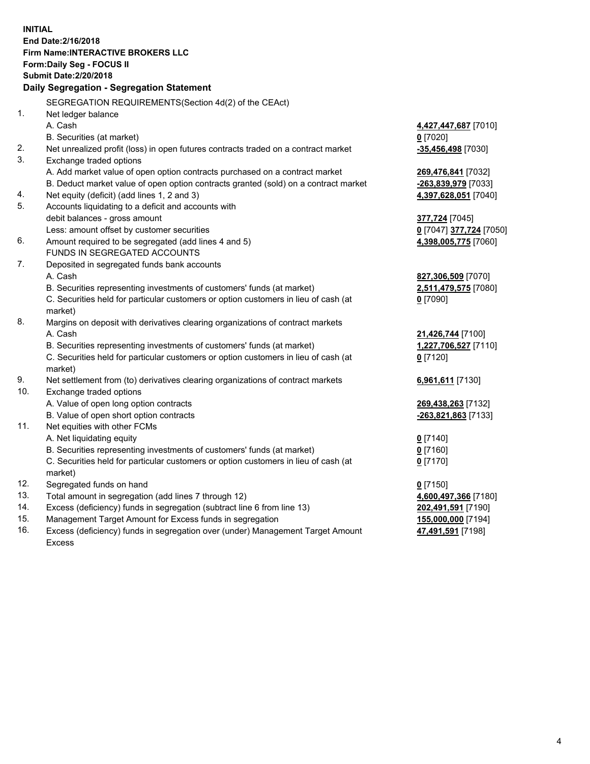**INITIAL End Date:2/16/2018 Firm Name:INTERACTIVE BROKERS LLC Form:Daily Seg - FOCUS II Submit Date:2/20/2018 Daily Segregation - Segregation Statement** SEGREGATION REQUIREMENTS(Section 4d(2) of the CEAct) 1. Net ledger balance A. Cash **4,427,447,687** [7010] B. Securities (at market) **0** [7020] 2. Net unrealized profit (loss) in open futures contracts traded on a contract market **-35,456,498** [7030] 3. Exchange traded options A. Add market value of open option contracts purchased on a contract market **269,476,841** [7032] B. Deduct market value of open option contracts granted (sold) on a contract market **-263,839,979** [7033] 4. Net equity (deficit) (add lines 1, 2 and 3) **4,397,628,051** [7040] 5. Accounts liquidating to a deficit and accounts with debit balances - gross amount **377,724** [7045] Less: amount offset by customer securities **0** [7047] **377,724** [7050] 6. Amount required to be segregated (add lines 4 and 5) **4,398,005,775** [7060] FUNDS IN SEGREGATED ACCOUNTS 7. Deposited in segregated funds bank accounts A. Cash **827,306,509** [7070] B. Securities representing investments of customers' funds (at market) **2,511,479,575** [7080] C. Securities held for particular customers or option customers in lieu of cash (at market) **0** [7090] 8. Margins on deposit with derivatives clearing organizations of contract markets A. Cash **21,426,744** [7100] B. Securities representing investments of customers' funds (at market) **1,227,706,527** [7110] C. Securities held for particular customers or option customers in lieu of cash (at market) **0** [7120] 9. Net settlement from (to) derivatives clearing organizations of contract markets **6,961,611** [7130] 10. Exchange traded options A. Value of open long option contracts **269,438,263** [7132] B. Value of open short option contracts **-263,821,863** [7133] 11. Net equities with other FCMs A. Net liquidating equity **0** [7140] B. Securities representing investments of customers' funds (at market) **0** [7160] C. Securities held for particular customers or option customers in lieu of cash (at market) **0** [7170] 12. Segregated funds on hand **0** [7150] 13. Total amount in segregation (add lines 7 through 12) **4,600,497,366** [7180] 14. Excess (deficiency) funds in segregation (subtract line 6 from line 13) **202,491,591** [7190] 15. Management Target Amount for Excess funds in segregation **155,000,000** [7194]

16. Excess (deficiency) funds in segregation over (under) Management Target Amount Excess

**47,491,591** [7198]